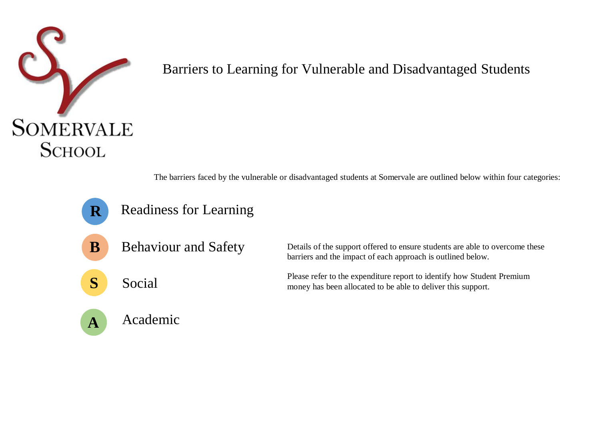

## Barriers to Learning for Vulnerable and Disadvantaged Students

The barriers faced by the vulnerable or disadvantaged students at Somervale are outlined below within four categories:

- Readiness for Learning **R**
- Behaviour and Safety **B**
- **S** Social

Details of the support offered to ensure students are able to overcome these barriers and the impact of each approach is outlined below.

Please refer to the expenditure report to identify how Student Premium money has been allocated to be able to deliver this support.

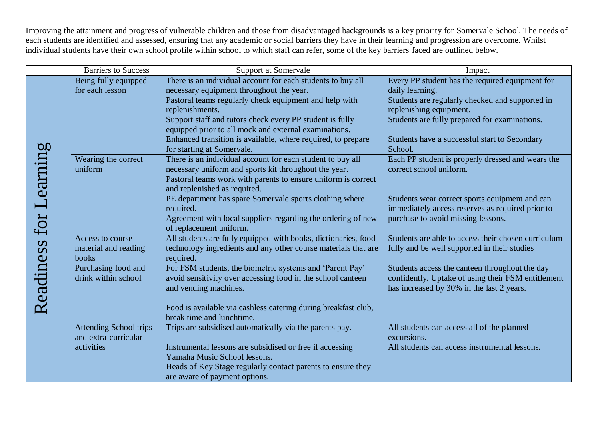Improving the attainment and progress of vulnerable children and those from disadvantaged backgrounds is a key priority for Somervale School. The needs of each students are identified and assessed, ensuring that any academic or social barriers they have in their learning and progression are overcome. Whilst individual students have their own school profile within school to which staff can refer, some of the key barriers faced are outlined below.

|                        | <b>Barriers to Success</b>    | Support at Somervale                                                                          | Impact                                              |
|------------------------|-------------------------------|-----------------------------------------------------------------------------------------------|-----------------------------------------------------|
|                        | Being fully equipped          | There is an individual account for each students to buy all                                   | Every PP student has the required equipment for     |
|                        | for each lesson               | necessary equipment throughout the year.                                                      | daily learning.                                     |
|                        |                               | Pastoral teams regularly check equipment and help with                                        | Students are regularly checked and supported in     |
|                        |                               | replenishments.                                                                               | replenishing equipment.                             |
|                        |                               | Support staff and tutors check every PP student is fully                                      | Students are fully prepared for examinations.       |
|                        |                               | equipped prior to all mock and external examinations.                                         |                                                     |
|                        |                               | Enhanced transition is available, where required, to prepare                                  | Students have a successful start to Secondary       |
|                        |                               | for starting at Somervale.                                                                    | School.                                             |
|                        | Wearing the correct           | There is an individual account for each student to buy all                                    | Each PP student is properly dressed and wears the   |
|                        | uniform                       | necessary uniform and sports kit throughout the year.                                         | correct school uniform.                             |
| Readiness for Learning |                               | Pastoral teams work with parents to ensure uniform is correct<br>and replenished as required. |                                                     |
|                        |                               | PE department has spare Somervale sports clothing where                                       | Students wear correct sports equipment and can      |
|                        |                               | required.                                                                                     | immediately access reserves as required prior to    |
|                        |                               | Agreement with local suppliers regarding the ordering of new                                  | purchase to avoid missing lessons.                  |
|                        |                               | of replacement uniform.                                                                       |                                                     |
|                        | Access to course              | All students are fully equipped with books, dictionaries, food                                | Students are able to access their chosen curriculum |
|                        | material and reading          | technology ingredients and any other course materials that are                                | fully and be well supported in their studies        |
|                        | books                         | required.                                                                                     |                                                     |
|                        | Purchasing food and           | For FSM students, the biometric systems and 'Parent Pay'                                      | Students access the canteen throughout the day      |
|                        | drink within school           | avoid sensitivity over accessing food in the school canteen                                   | confidently. Uptake of using their FSM entitlement  |
|                        |                               | and vending machines.                                                                         | has increased by 30% in the last 2 years.           |
|                        |                               | Food is available via cashless catering during breakfast club,                                |                                                     |
|                        |                               | break time and lunchtime.                                                                     |                                                     |
|                        | <b>Attending School trips</b> | Trips are subsidised automatically via the parents pay.                                       | All students can access all of the planned          |
|                        | and extra-curricular          |                                                                                               | excursions.                                         |
|                        | activities                    | Instrumental lessons are subsidised or free if accessing                                      | All students can access instrumental lessons.       |
|                        |                               | Yamaha Music School lessons.                                                                  |                                                     |
|                        |                               | Heads of Key Stage regularly contact parents to ensure they                                   |                                                     |
|                        |                               | are aware of payment options.                                                                 |                                                     |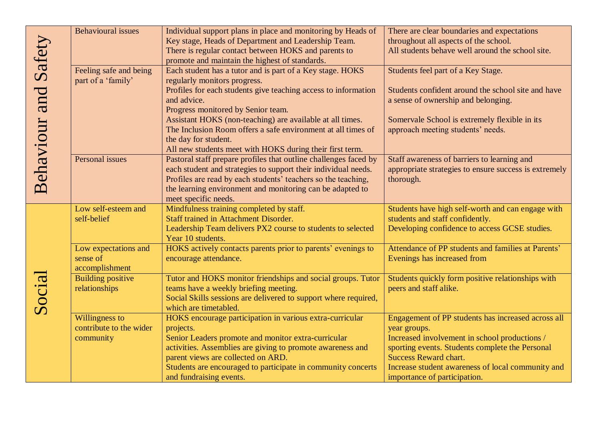|                             | <b>Behavioural</b> issues | Individual support plans in place and monitoring by Heads of     | There are clear boundaries and expectations           |
|-----------------------------|---------------------------|------------------------------------------------------------------|-------------------------------------------------------|
| <b>Behaviour and Safety</b> |                           | Key stage, Heads of Department and Leadership Team.              | throughout all aspects of the school.                 |
|                             |                           | There is regular contact between HOKS and parents to             | All students behave well around the school site.      |
|                             |                           | promote and maintain the highest of standards.                   |                                                       |
|                             | Feeling safe and being    | Each student has a tutor and is part of a Key stage. HOKS        | Students feel part of a Key Stage.                    |
|                             | part of a 'family'        | regularly monitors progress.                                     |                                                       |
|                             |                           | Profiles for each students give teaching access to information   | Students confident around the school site and have    |
|                             |                           | and advice.                                                      | a sense of ownership and belonging.                   |
|                             |                           | Progress monitored by Senior team.                               |                                                       |
|                             |                           | Assistant HOKS (non-teaching) are available at all times.        | Somervale School is extremely flexible in its         |
|                             |                           | The Inclusion Room offers a safe environment at all times of     | approach meeting students' needs.                     |
|                             |                           | the day for student.                                             |                                                       |
|                             |                           | All new students meet with HOKS during their first term.         |                                                       |
|                             | Personal issues           | Pastoral staff prepare profiles that outline challenges faced by | Staff awareness of barriers to learning and           |
|                             |                           | each student and strategies to support their individual needs.   | appropriate strategies to ensure success is extremely |
|                             |                           | Profiles are read by each students' teachers so the teaching,    | thorough.                                             |
|                             |                           | the learning environment and monitoring can be adapted to        |                                                       |
|                             | Low self-esteem and       | meet specific needs.<br>Mindfulness training completed by staff. | Students have high self-worth and can engage with     |
|                             | self-belief               | Staff trained in Attachment Disorder.                            | students and staff confidently.                       |
|                             |                           | Leadership Team delivers PX2 course to students to selected      | Developing confidence to access GCSE studies.         |
|                             |                           | Year 10 students.                                                |                                                       |
|                             | Low expectations and      | HOKS actively contacts parents prior to parents' evenings to     | Attendance of PP students and families at Parents'    |
|                             | sense of                  | encourage attendance.                                            | Evenings has increased from                           |
|                             | accomplishment            |                                                                  |                                                       |
|                             | <b>Building positive</b>  | Tutor and HOKS monitor friendships and social groups. Tutor      | Students quickly form positive relationships with     |
|                             | relationships             | teams have a weekly briefing meeting.                            | peers and staff alike.                                |
|                             |                           | Social Skills sessions are delivered to support where required,  |                                                       |
| Social                      |                           | which are timetabled.                                            |                                                       |
|                             | Willingness to            | HOKS encourage participation in various extra-curricular         | Engagement of PP students has increased across all    |
|                             | contribute to the wider   | projects.                                                        | year groups.                                          |
|                             | community                 | Senior Leaders promote and monitor extra-curricular              | Increased involvement in school productions /         |
|                             |                           | activities. Assemblies are giving to promote awareness and       | sporting events. Students complete the Personal       |
|                             |                           | parent views are collected on ARD.                               | <b>Success Reward chart.</b>                          |
|                             |                           | Students are encouraged to participate in community concerts     | Increase student awareness of local community and     |
|                             |                           | and fundraising events.                                          | importance of participation.                          |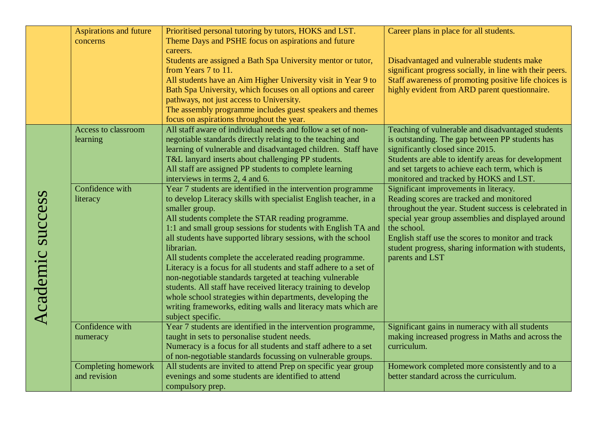|                  | <b>Aspirations and future</b> | Prioritised personal tutoring by tutors, HOKS and LST.                                                             | Career plans in place for all students.                           |
|------------------|-------------------------------|--------------------------------------------------------------------------------------------------------------------|-------------------------------------------------------------------|
|                  | concerns                      | Theme Days and PSHE focus on aspirations and future<br>careers.                                                    |                                                                   |
|                  |                               | Students are assigned a Bath Spa University mentor or tutor,                                                       | Disadvantaged and vulnerable students make                        |
|                  |                               | from Years 7 to 11.                                                                                                | significant progress socially, in line with their peers.          |
|                  |                               | All students have an Aim Higher University visit in Year 9 to                                                      | Staff awareness of promoting positive life choices is             |
|                  |                               | Bath Spa University, which focuses on all options and career                                                       | highly evident from ARD parent questionnaire.                     |
|                  |                               | pathways, not just access to University.                                                                           |                                                                   |
|                  |                               | The assembly programme includes guest speakers and themes<br>focus on aspirations throughout the year.             |                                                                   |
|                  | Access to classroom           | All staff aware of individual needs and follow a set of non-                                                       | Teaching of vulnerable and disadvantaged students                 |
|                  | learning                      | negotiable standards directly relating to the teaching and                                                         | is outstanding. The gap between PP students has                   |
|                  |                               | learning of vulnerable and disadvantaged children. Staff have                                                      | significantly closed since 2015.                                  |
|                  |                               | T&L lanyard inserts about challenging PP students.                                                                 | Students are able to identify areas for development               |
|                  |                               | All staff are assigned PP students to complete learning                                                            | and set targets to achieve each term, which is                    |
|                  |                               | interviews in terms 2, 4 and 6.                                                                                    | monitored and tracked by HOKS and LST.                            |
|                  | Confidence with               | Year 7 students are identified in the intervention programme                                                       | Significant improvements in literacy.                             |
|                  | literacy                      | to develop Literacy skills with specialist English teacher, in a                                                   | Reading scores are tracked and monitored                          |
|                  |                               | smaller group.                                                                                                     | throughout the year. Student success is celebrated in             |
|                  |                               | All students complete the STAR reading programme.<br>1:1 and small group sessions for students with English TA and | special year group assemblies and displayed around<br>the school. |
|                  |                               | all students have supported library sessions, with the school                                                      | English staff use the scores to monitor and track                 |
|                  |                               | librarian.                                                                                                         | student progress, sharing information with students,              |
|                  |                               | All students complete the accelerated reading programme.                                                           | parents and LST                                                   |
| Academic success |                               | Literacy is a focus for all students and staff adhere to a set of                                                  |                                                                   |
|                  |                               | non-negotiable standards targeted at teaching vulnerable                                                           |                                                                   |
|                  |                               | students. All staff have received literacy training to develop                                                     |                                                                   |
|                  |                               | whole school strategies within departments, developing the                                                         |                                                                   |
|                  |                               | writing frameworks, editing walls and literacy mats which are                                                      |                                                                   |
|                  | Confidence with               | subject specific.<br>Year 7 students are identified in the intervention programme,                                 | Significant gains in numeracy with all students                   |
|                  | numeracy                      | taught in sets to personalise student needs.                                                                       | making increased progress in Maths and across the                 |
|                  |                               | Numeracy is a focus for all students and staff adhere to a set                                                     | curriculum.                                                       |
|                  |                               | of non-negotiable standards focussing on vulnerable groups.                                                        |                                                                   |
|                  | Completing homework           | All students are invited to attend Prep on specific year group                                                     | Homework completed more consistently and to a                     |
|                  | and revision                  | evenings and some students are identified to attend                                                                | better standard across the curriculum.                            |
|                  |                               | compulsory prep.                                                                                                   |                                                                   |